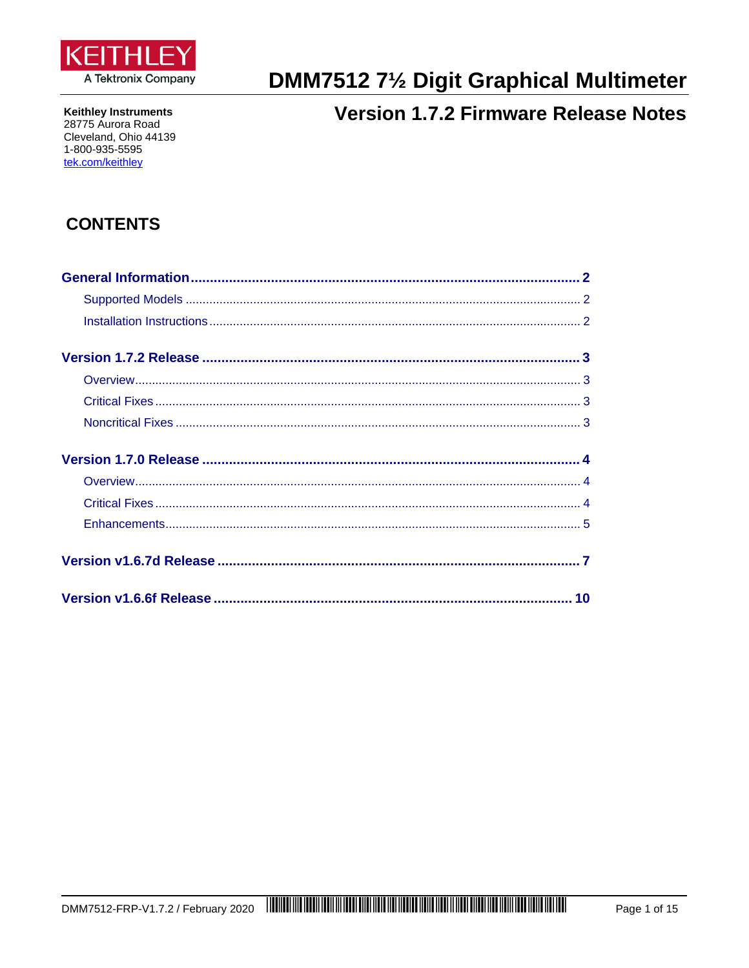

DMM7512 71/2 Digit Graphical Multimeter

#### **Keithley Instruments** 28775 Aurora Road Cleveland, Ohio 44139 1-800-935-5595 tek.com/keithley

# **Version 1.7.2 Firmware Release Notes**

# **CONTENTS**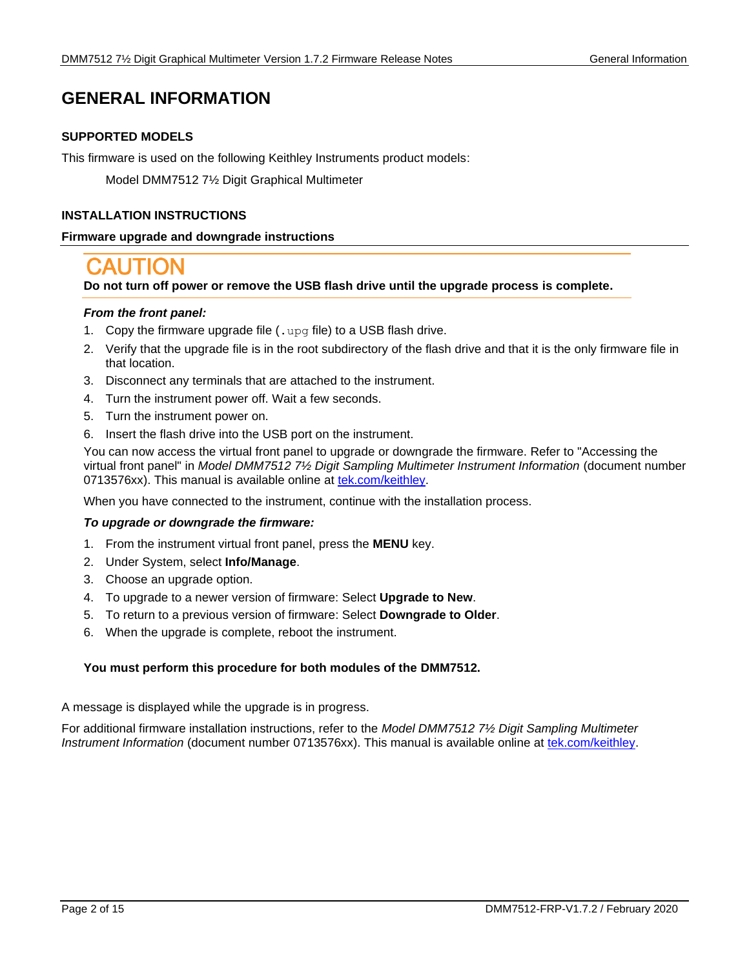# <span id="page-1-1"></span><span id="page-1-0"></span>**GENERAL INFORMATION**

# **SUPPORTED MODELS**

This firmware is used on the following Keithley Instruments product models:

Model DMM7512 7½ Digit Graphical Multimeter

# <span id="page-1-2"></span>**INSTALLATION INSTRUCTIONS**

# **Firmware upgrade and downgrade instructions**

# **Do not turn off power or remove the USB flash drive until the upgrade process is complete.**

# *From the front panel:*

- 1. Copy the firmware upgrade file  $( .\, \text{upp}$  file) to a USB flash drive.
- 2. Verify that the upgrade file is in the root subdirectory of the flash drive and that it is the only firmware file in that location.
- 3. Disconnect any terminals that are attached to the instrument.
- 4. Turn the instrument power off. Wait a few seconds.
- 5. Turn the instrument power on.
- 6. Insert the flash drive into the USB port on the instrument.

You can now access the virtual front panel to upgrade or downgrade the firmware. Refer to "Accessing the virtual front panel" in *Model DMM7512 7½ Digit Sampling Multimeter Instrument Information* (document number 0713576xx). This manual is available online at [tek.com/keithley.](https://www.tek.com/keithley)

When you have connected to the instrument, continue with the installation process.

# *To upgrade or downgrade the firmware:*

- 1. From the instrument virtual front panel, press the **MENU** key.
- 2. Under System, select **Info/Manage**.
- 3. Choose an upgrade option.
- 4. To upgrade to a newer version of firmware: Select **Upgrade to New**.
- 5. To return to a previous version of firmware: Select **Downgrade to Older**.
- 6. When the upgrade is complete, reboot the instrument.

# **You must perform this procedure for both modules of the DMM7512.**

A message is displayed while the upgrade is in progress.

For additional firmware installation instructions, refer to the *Model DMM7512 7½ Digit Sampling Multimeter Instrument Information* (document number 0713576xx). This manual is available online at [tek.com/keithley.](https://www.tek.com/keithley)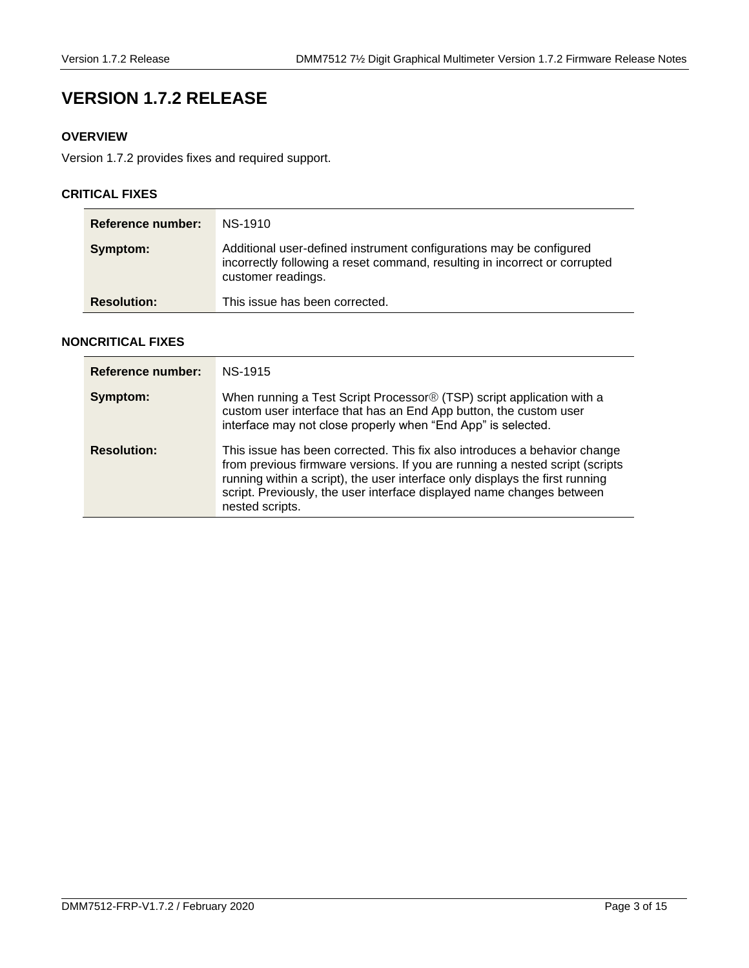# <span id="page-2-0"></span>**VERSION 1.7.2 RELEASE**

# <span id="page-2-1"></span>**OVERVIEW**

Version 1.7.2 provides fixes and required support.

# <span id="page-2-2"></span>**CRITICAL FIXES**

| Reference number:  | NS-1910                                                                                                                                                                 |
|--------------------|-------------------------------------------------------------------------------------------------------------------------------------------------------------------------|
| Symptom:           | Additional user-defined instrument configurations may be configured<br>incorrectly following a reset command, resulting in incorrect or corrupted<br>customer readings. |
| <b>Resolution:</b> | This issue has been corrected.                                                                                                                                          |

# <span id="page-2-3"></span>**NONCRITICAL FIXES**

| Reference number:  | NS-1915                                                                                                                                                                                                                                                                                                                               |
|--------------------|---------------------------------------------------------------------------------------------------------------------------------------------------------------------------------------------------------------------------------------------------------------------------------------------------------------------------------------|
| Symptom:           | When running a Test Script Processor <sup>®</sup> (TSP) script application with a<br>custom user interface that has an End App button, the custom user<br>interface may not close properly when "End App" is selected.                                                                                                                |
| <b>Resolution:</b> | This issue has been corrected. This fix also introduces a behavior change<br>from previous firmware versions. If you are running a nested script (scripts<br>running within a script), the user interface only displays the first running<br>script. Previously, the user interface displayed name changes between<br>nested scripts. |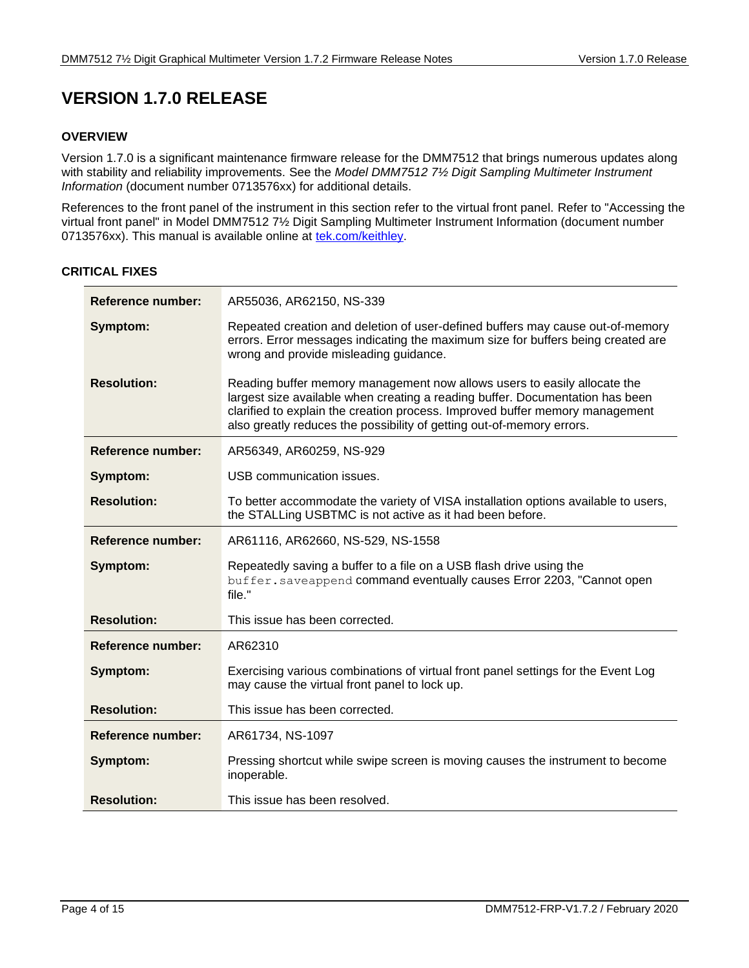# <span id="page-3-0"></span>**VERSION 1.7.0 RELEASE**

# <span id="page-3-1"></span>**OVERVIEW**

Version 1.7.0 is a significant maintenance firmware release for the DMM7512 that brings numerous updates along with stability and reliability improvements. See the *Model DMM7512 7½ Digit Sampling Multimeter Instrument Information* (document number 0713576xx) for additional details.

References to the front panel of the instrument in this section refer to the virtual front panel. Refer to "Accessing the virtual front panel" in Model DMM7512 7½ Digit Sampling Multimeter Instrument Information (document number 0713576xx). This manual is available online at [tek.com/keithley.](https://www.tek.com/keithley)

# <span id="page-3-2"></span>**CRITICAL FIXES**

| Reference number:        | AR55036, AR62150, NS-339                                                                                                                                                                                                                                                                                           |
|--------------------------|--------------------------------------------------------------------------------------------------------------------------------------------------------------------------------------------------------------------------------------------------------------------------------------------------------------------|
| Symptom:                 | Repeated creation and deletion of user-defined buffers may cause out-of-memory<br>errors. Error messages indicating the maximum size for buffers being created are<br>wrong and provide misleading guidance.                                                                                                       |
| <b>Resolution:</b>       | Reading buffer memory management now allows users to easily allocate the<br>largest size available when creating a reading buffer. Documentation has been<br>clarified to explain the creation process. Improved buffer memory management<br>also greatly reduces the possibility of getting out-of-memory errors. |
| <b>Reference number:</b> | AR56349, AR60259, NS-929                                                                                                                                                                                                                                                                                           |
| Symptom:                 | USB communication issues.                                                                                                                                                                                                                                                                                          |
| <b>Resolution:</b>       | To better accommodate the variety of VISA installation options available to users,<br>the STALLing USBTMC is not active as it had been before.                                                                                                                                                                     |
| <b>Reference number:</b> | AR61116, AR62660, NS-529, NS-1558                                                                                                                                                                                                                                                                                  |
| Symptom:                 | Repeatedly saving a buffer to a file on a USB flash drive using the<br>buffer.saveappend command eventually causes Error 2203, "Cannot open<br>file."                                                                                                                                                              |
| <b>Resolution:</b>       | This issue has been corrected.                                                                                                                                                                                                                                                                                     |
| Reference number:        | AR62310                                                                                                                                                                                                                                                                                                            |
| Symptom:                 | Exercising various combinations of virtual front panel settings for the Event Log<br>may cause the virtual front panel to lock up.                                                                                                                                                                                 |
| <b>Resolution:</b>       | This issue has been corrected.                                                                                                                                                                                                                                                                                     |
| Reference number:        | AR61734, NS-1097                                                                                                                                                                                                                                                                                                   |
| Symptom:                 | Pressing shortcut while swipe screen is moving causes the instrument to become<br>inoperable.                                                                                                                                                                                                                      |
| <b>Resolution:</b>       | This issue has been resolved.                                                                                                                                                                                                                                                                                      |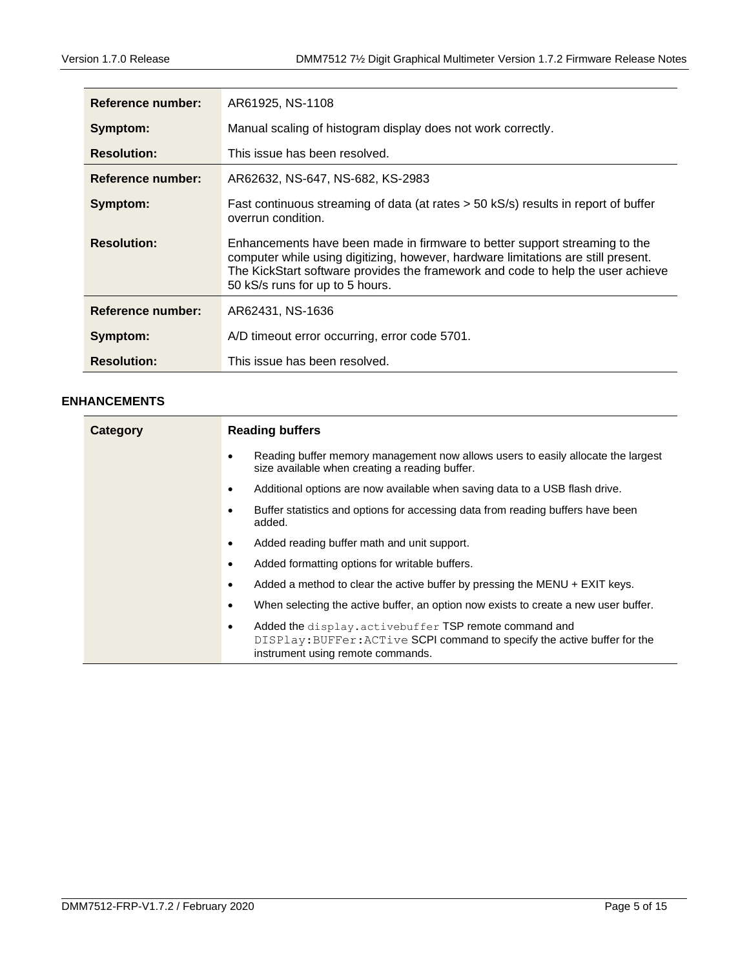| Reference number:  | AR61925, NS-1108                                                                                                                                                                                                                                                                      |
|--------------------|---------------------------------------------------------------------------------------------------------------------------------------------------------------------------------------------------------------------------------------------------------------------------------------|
| Symptom:           | Manual scaling of histogram display does not work correctly.                                                                                                                                                                                                                          |
| <b>Resolution:</b> | This issue has been resolved.                                                                                                                                                                                                                                                         |
| Reference number:  | AR62632, NS-647, NS-682, KS-2983                                                                                                                                                                                                                                                      |
| Symptom:           | Fast continuous streaming of data (at rates > 50 kS/s) results in report of buffer<br>overrun condition.                                                                                                                                                                              |
| <b>Resolution:</b> | Enhancements have been made in firmware to better support streaming to the<br>computer while using digitizing, however, hardware limitations are still present.<br>The KickStart software provides the framework and code to help the user achieve<br>50 kS/s runs for up to 5 hours. |
| Reference number:  | AR62431, NS-1636                                                                                                                                                                                                                                                                      |
| Symptom:           | A/D timeout error occurring, error code 5701.                                                                                                                                                                                                                                         |
| <b>Resolution:</b> | This issue has been resolved.                                                                                                                                                                                                                                                         |

# <span id="page-4-0"></span>**ENHANCEMENTS**

| Category | <b>Reading buffers</b>                                                                                                                                                       |  |  |
|----------|------------------------------------------------------------------------------------------------------------------------------------------------------------------------------|--|--|
|          | Reading buffer memory management now allows users to easily allocate the largest<br>$\bullet$<br>size available when creating a reading buffer.                              |  |  |
|          | Additional options are now available when saving data to a USB flash drive.<br>$\bullet$                                                                                     |  |  |
|          | Buffer statistics and options for accessing data from reading buffers have been<br>$\bullet$<br>added.                                                                       |  |  |
|          | Added reading buffer math and unit support.<br>٠                                                                                                                             |  |  |
|          | Added formatting options for writable buffers.<br>٠                                                                                                                          |  |  |
|          | Added a method to clear the active buffer by pressing the MENU $+$ EXIT keys.<br>٠                                                                                           |  |  |
|          | When selecting the active buffer, an option now exists to create a new user buffer.<br>٠                                                                                     |  |  |
|          | Added the display.activebuffer TSP remote command and<br>٠<br>DISPlay: BUFFer: ACTive SCPI command to specify the active buffer for the<br>instrument using remote commands. |  |  |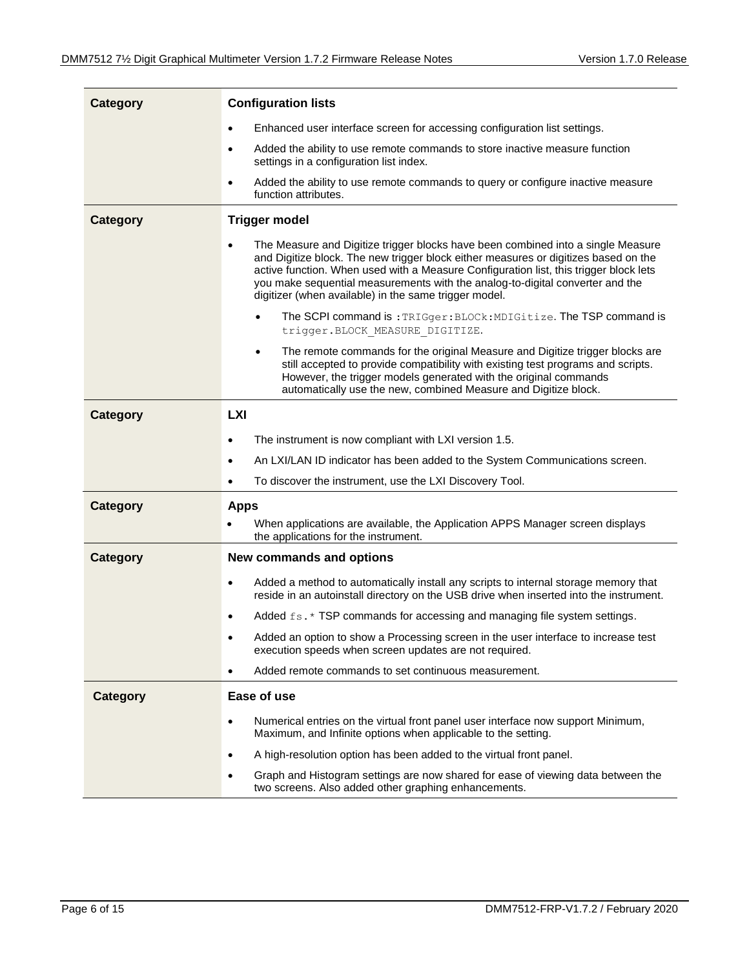| <b>Category</b> | <b>Configuration lists</b>                                                                                                                                                                                                                                                                                                                                                                                              |  |
|-----------------|-------------------------------------------------------------------------------------------------------------------------------------------------------------------------------------------------------------------------------------------------------------------------------------------------------------------------------------------------------------------------------------------------------------------------|--|
|                 | Enhanced user interface screen for accessing configuration list settings.<br>$\bullet$                                                                                                                                                                                                                                                                                                                                  |  |
|                 | Added the ability to use remote commands to store inactive measure function<br>$\bullet$<br>settings in a configuration list index.                                                                                                                                                                                                                                                                                     |  |
|                 | Added the ability to use remote commands to query or configure inactive measure<br>$\bullet$<br>function attributes.                                                                                                                                                                                                                                                                                                    |  |
| <b>Category</b> | <b>Trigger model</b>                                                                                                                                                                                                                                                                                                                                                                                                    |  |
|                 | The Measure and Digitize trigger blocks have been combined into a single Measure<br>$\bullet$<br>and Digitize block. The new trigger block either measures or digitizes based on the<br>active function. When used with a Measure Configuration list, this trigger block lets<br>you make sequential measurements with the analog-to-digital converter and the<br>digitizer (when available) in the same trigger model. |  |
|                 | The SCPI command is: TRIGger: BLOCk: MDIGitize. The TSP command is<br>trigger. BLOCK MEASURE DIGITIZE.                                                                                                                                                                                                                                                                                                                  |  |
|                 | The remote commands for the original Measure and Digitize trigger blocks are<br>$\bullet$<br>still accepted to provide compatibility with existing test programs and scripts.<br>However, the trigger models generated with the original commands<br>automatically use the new, combined Measure and Digitize block.                                                                                                    |  |
| <b>Category</b> | <b>LXI</b>                                                                                                                                                                                                                                                                                                                                                                                                              |  |
|                 | The instrument is now compliant with LXI version 1.5.<br>$\bullet$                                                                                                                                                                                                                                                                                                                                                      |  |
|                 | An LXI/LAN ID indicator has been added to the System Communications screen.<br>$\bullet$                                                                                                                                                                                                                                                                                                                                |  |
|                 | To discover the instrument, use the LXI Discovery Tool.<br>$\bullet$                                                                                                                                                                                                                                                                                                                                                    |  |
| <b>Category</b> | <b>Apps</b>                                                                                                                                                                                                                                                                                                                                                                                                             |  |
|                 | When applications are available, the Application APPS Manager screen displays<br>$\bullet$<br>the applications for the instrument.                                                                                                                                                                                                                                                                                      |  |
| <b>Category</b> | New commands and options                                                                                                                                                                                                                                                                                                                                                                                                |  |
|                 | Added a method to automatically install any scripts to internal storage memory that<br>$\bullet$<br>reside in an autoinstall directory on the USB drive when inserted into the instrument.                                                                                                                                                                                                                              |  |
|                 | Added fs. * TSP commands for accessing and managing file system settings.                                                                                                                                                                                                                                                                                                                                               |  |
|                 | Added an option to show a Processing screen in the user interface to increase test<br>execution speeds when screen updates are not required.                                                                                                                                                                                                                                                                            |  |
|                 | Added remote commands to set continuous measurement.<br>$\bullet$                                                                                                                                                                                                                                                                                                                                                       |  |
| <b>Category</b> | Ease of use                                                                                                                                                                                                                                                                                                                                                                                                             |  |
|                 | Numerical entries on the virtual front panel user interface now support Minimum,<br>$\bullet$<br>Maximum, and Infinite options when applicable to the setting.                                                                                                                                                                                                                                                          |  |
|                 | A high-resolution option has been added to the virtual front panel.<br>$\bullet$                                                                                                                                                                                                                                                                                                                                        |  |
|                 | Graph and Histogram settings are now shared for ease of viewing data between the<br>$\bullet$<br>two screens. Also added other graphing enhancements.                                                                                                                                                                                                                                                                   |  |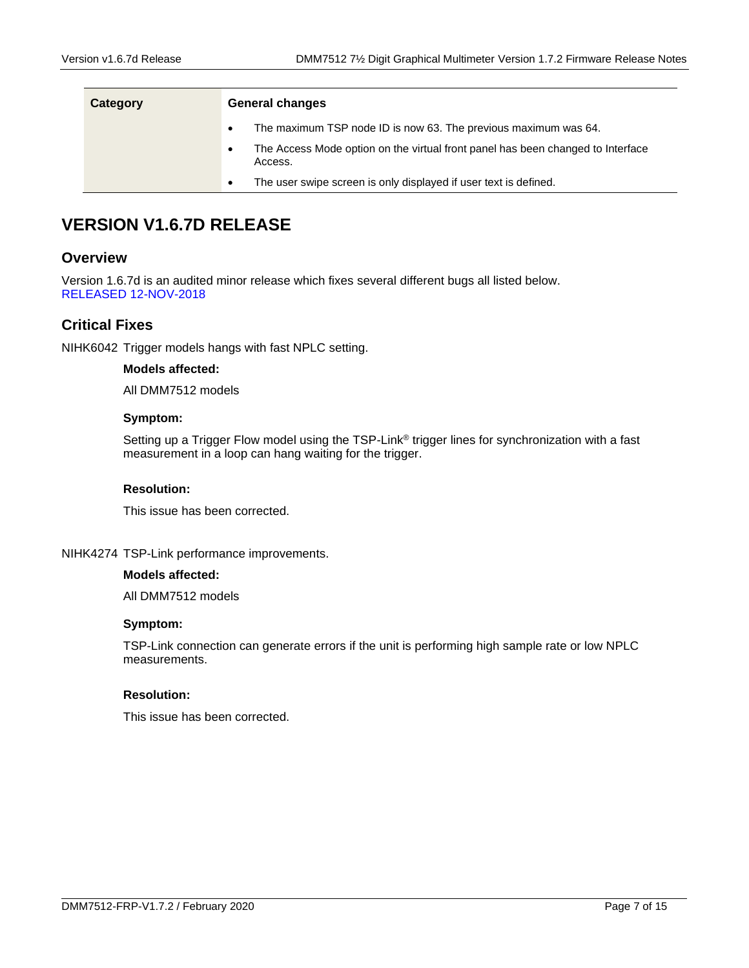| Category | <b>General changes</b>                                           |                                                                                 |  |
|----------|------------------------------------------------------------------|---------------------------------------------------------------------------------|--|
|          |                                                                  | The maximum TSP node ID is now 63. The previous maximum was 64.                 |  |
|          | Access.                                                          | The Access Mode option on the virtual front panel has been changed to Interface |  |
|          | The user swipe screen is only displayed if user text is defined. |                                                                                 |  |

# <span id="page-6-0"></span>**VERSION V1.6.7D RELEASE**

# **Overview**

Version 1.6.7d is an audited minor release which fixes several different bugs all listed below. RELEASED 12-NOV-2018

# **Critical Fixes**

NIHK6042 Trigger models hangs with fast NPLC setting.

# **Models affected:**

All DMM7512 models

# **Symptom:**

Setting up a Trigger Flow model using the TSP-Link® trigger lines for synchronization with a fast measurement in a loop can hang waiting for the trigger.

# **Resolution:**

This issue has been corrected.

# NIHK4274 TSP-Link performance improvements.

#### **Models affected:**

All DMM7512 models

# **Symptom:**

TSP-Link connection can generate errors if the unit is performing high sample rate or low NPLC measurements.

# **Resolution:**

This issue has been corrected.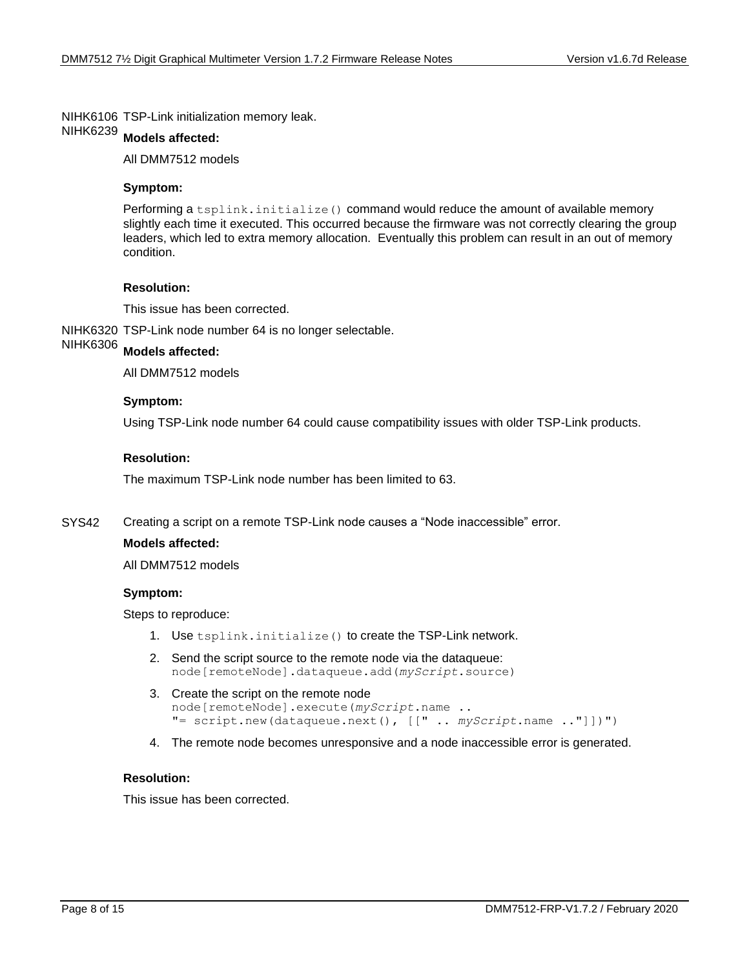NIHK6106 TSP-Link initialization memory leak.

#### **Models affected:** NIHK6239

All DMM7512 models

# **Symptom:**

Performing a tsplink.initialize() command would reduce the amount of available memory slightly each time it executed. This occurred because the firmware was not correctly clearing the group leaders, which led to extra memory allocation. Eventually this problem can result in an out of memory condition.

# **Resolution:**

This issue has been corrected.

NIHK6320 TSP-Link node number 64 is no longer selectable.

#### **Models affected:** NIHK6306

All DMM7512 models

# **Symptom:**

Using TSP-Link node number 64 could cause compatibility issues with older TSP-Link products.

# **Resolution:**

The maximum TSP-Link node number has been limited to 63.

Creating a script on a remote TSP-Link node causes a "Node inaccessible" error. SYS42

# **Models affected:**

All DMM7512 models

#### **Symptom:**

Steps to reproduce:

- 1. Use tsplink.initialize() to create the TSP-Link network.
- 2. Send the script source to the remote node via the dataqueue: node[remoteNode].dataqueue.add(*myScript*.source)
- 3. Create the script on the remote node node[remoteNode].execute(*myScript*.name .. "= script.new(dataqueue.next(), [[" .. *myScript*.name .."]])")
- 4. The remote node becomes unresponsive and a node inaccessible error is generated.

# **Resolution:**

This issue has been corrected.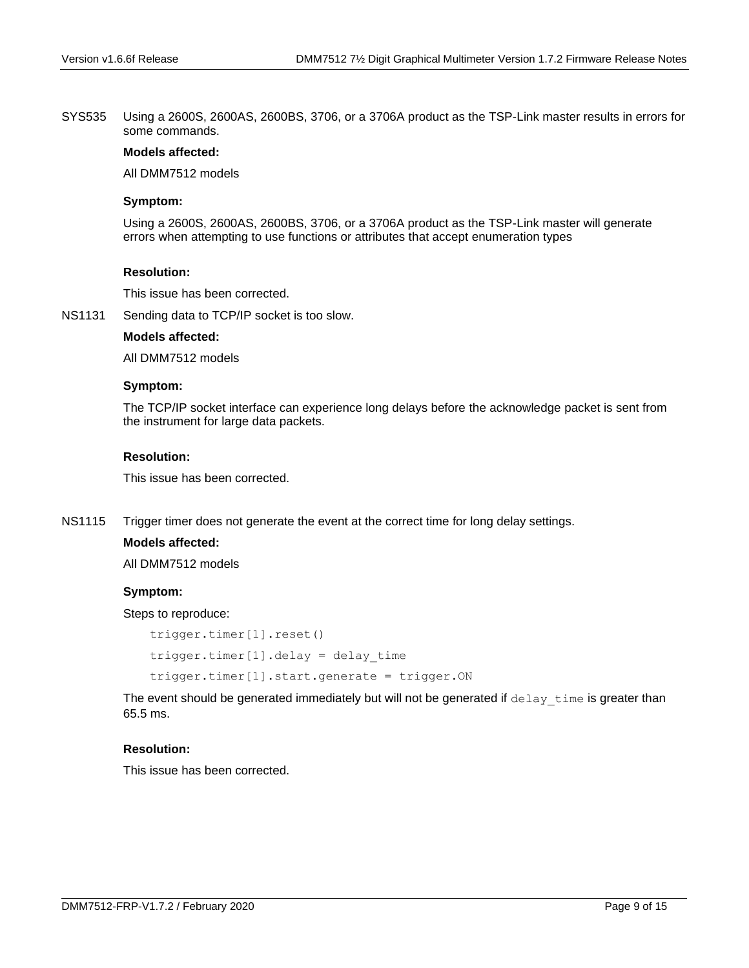Using a 2600S, 2600AS, 2600BS, 3706, or a 3706A product as the TSP-Link master results in errors for some commands. SYS535

# **Models affected:**

All DMM7512 models

# **Symptom:**

Using a 2600S, 2600AS, 2600BS, 3706, or a 3706A product as the TSP-Link master will generate errors when attempting to use functions or attributes that accept enumeration types

# **Resolution:**

This issue has been corrected.

Sending data to TCP/IP socket is too slow. NS1131

# **Models affected:**

All DMM7512 models

### **Symptom:**

The TCP/IP socket interface can experience long delays before the acknowledge packet is sent from the instrument for large data packets.

# **Resolution:**

This issue has been corrected.

Trigger timer does not generate the event at the correct time for long delay settings. NS1115

# **Models affected:**

All DMM7512 models

# **Symptom:**

Steps to reproduce:

```
trigger.timer[1].reset()
trigger.timer[1].delay = delay_time
trigger.timer[1].start.generate = trigger.ON
```
The event should be generated immediately but will not be generated if delay time is greater than 65.5 ms.

# **Resolution:**

This issue has been corrected.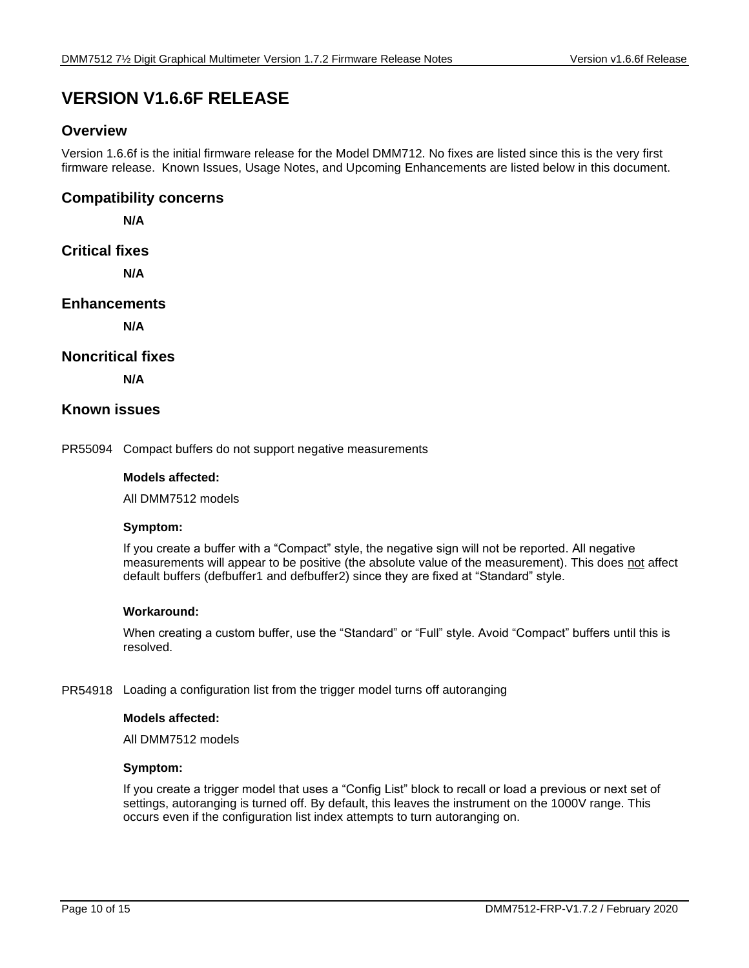# <span id="page-9-0"></span>**VERSION V1.6.6F RELEASE**

# **Overview**

Version 1.6.6f is the initial firmware release for the Model DMM712. No fixes are listed since this is the very first firmware release. Known Issues, Usage Notes, and Upcoming Enhancements are listed below in this document.

# **Compatibility concerns**

**N/A**

# **Critical fixes**

**N/A**

# **Enhancements**

**N/A**

# **Noncritical fixes**

**N/A** 

# **Known issues**

PR55094 Compact buffers do not support negative measurements

# **Models affected:**

All DMM7512 models

# **Symptom:**

If you create a buffer with a "Compact" style, the negative sign will not be reported. All negative measurements will appear to be positive (the absolute value of the measurement). This does not affect default buffers (defbuffer1 and defbuffer2) since they are fixed at "Standard" style.

# **Workaround:**

When creating a custom buffer, use the "Standard" or "Full" style. Avoid "Compact" buffers until this is resolved.

# PR54918 Loading a configuration list from the trigger model turns off autoranging

# **Models affected:**

All DMM7512 models

# **Symptom:**

If you create a trigger model that uses a "Config List" block to recall or load a previous or next set of settings, autoranging is turned off. By default, this leaves the instrument on the 1000V range. This occurs even if the configuration list index attempts to turn autoranging on.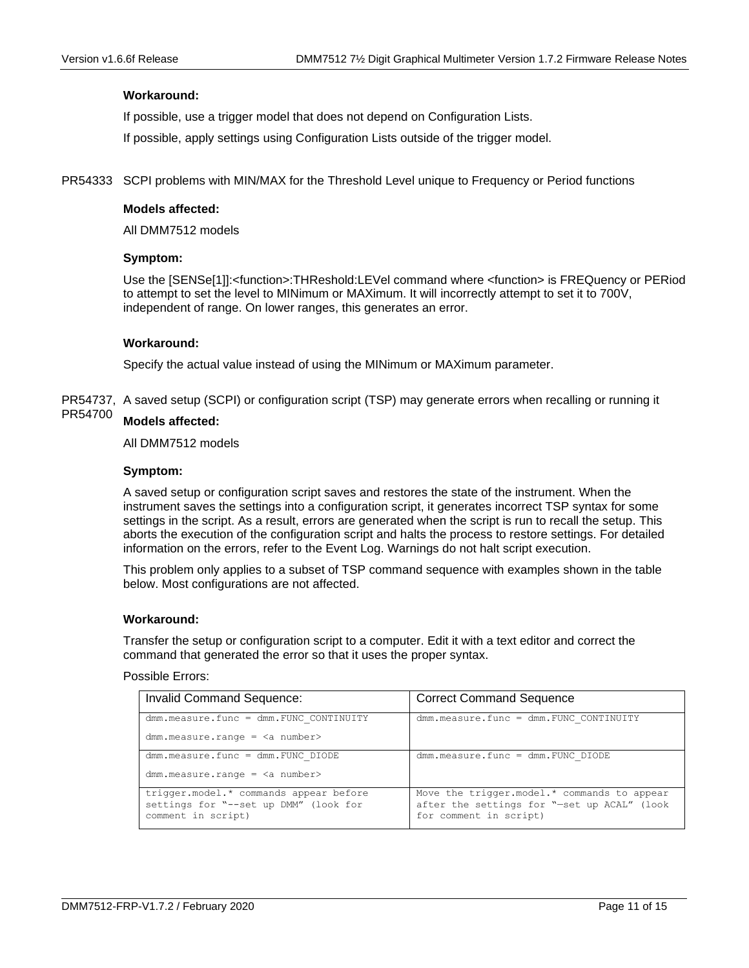# **Workaround:**

If possible, use a trigger model that does not depend on Configuration Lists.

If possible, apply settings using Configuration Lists outside of the trigger model.

PR54333 SCPI problems with MIN/MAX for the Threshold Level unique to Frequency or Period functions

### **Models affected:**

All DMM7512 models

### **Symptom:**

Use the [SENSe[1]]:<function>:THReshold:LEVel command where <function> is FREQuency or PERiod to attempt to set the level to MINimum or MAXimum. It will incorrectly attempt to set it to 700V, independent of range. On lower ranges, this generates an error.

# **Workaround:**

Specify the actual value instead of using the MINimum or MAXimum parameter.

PR54737, A saved setup (SCPI) or configuration script (TSP) may generate errors when recalling or running it

#### **Models affected:** PR54700

All DMM7512 models

### **Symptom:**

A saved setup or configuration script saves and restores the state of the instrument. When the instrument saves the settings into a configuration script, it generates incorrect TSP syntax for some settings in the script. As a result, errors are generated when the script is run to recall the setup. This aborts the execution of the configuration script and halts the process to restore settings. For detailed information on the errors, refer to the Event Log. Warnings do not halt script execution.

This problem only applies to a subset of TSP command sequence with examples shown in the table below. Most configurations are not affected.

#### **Workaround:**

Transfer the setup or configuration script to a computer. Edit it with a text editor and correct the command that generated the error so that it uses the proper syntax.

Possible Errors:

| <b>Invalid Command Sequence:</b>                                                | <b>Correct Command Sequence</b>                                                            |
|---------------------------------------------------------------------------------|--------------------------------------------------------------------------------------------|
| $dmm$ , measure, func = $dmm$ , FUNC CONTINUITY                                 | $dmm$ . measure. func = $dmm$ . FUNC CONTINUITY                                            |
| $dmm.measure.random = number$                                                   |                                                                                            |
| $dmm$ . measure. func = $dmm$ . FUNC DIODE                                      | $dmm$ . measure. func = $dmm$ . FUNC DIODE                                                 |
| $dmm.measure.random = number>$                                                  |                                                                                            |
| trigger.model.* commands appear before<br>settings for "--set up DMM" (look for | Move the trigger.model.* commands to appear<br>after the settings for "-set up ACAL" (look |
| comment in script)                                                              | for comment in script)                                                                     |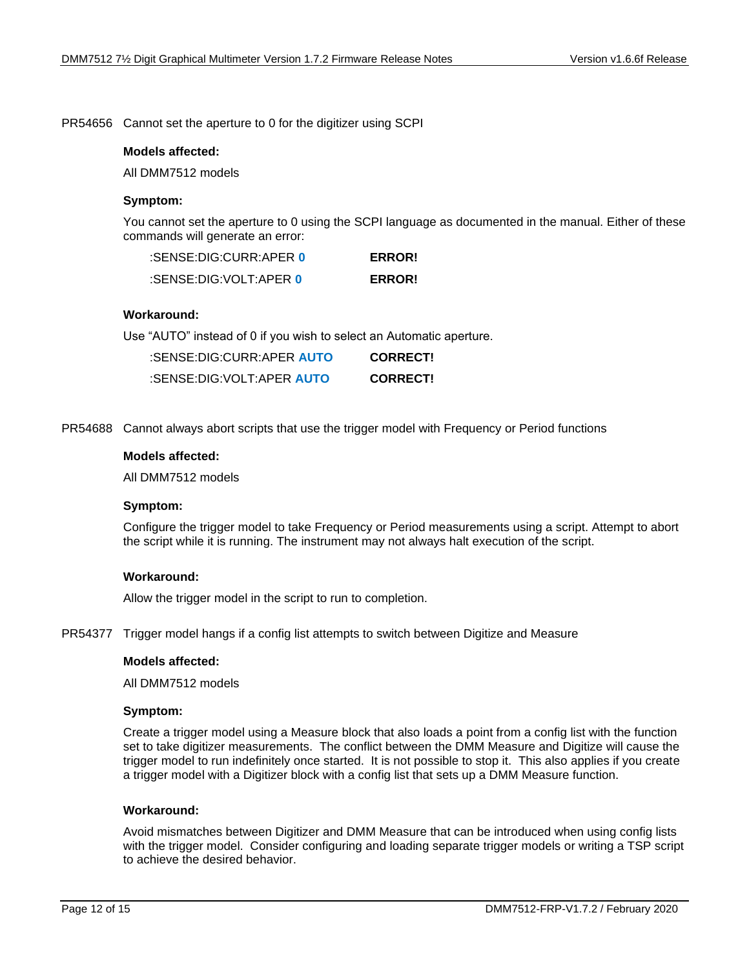PR54656 Cannot set the aperture to 0 for the digitizer using SCPI

### **Models affected:**

All DMM7512 models

# **Symptom:**

You cannot set the aperture to 0 using the SCPI language as documented in the manual. Either of these commands will generate an error:

| :SENSE:DIG:CURR:APER 0 | <b>ERROR!</b> |
|------------------------|---------------|
| :SENSE:DIG:VOLT:APER 0 | <b>ERROR!</b> |

# **Workaround:**

Use "AUTO" instead of 0 if you wish to select an Automatic aperture.

| :SENSE:DIG:CURR:APER AUTO | <b>CORRECT!</b> |
|---------------------------|-----------------|
| :SENSE:DIG:VOLT:APER AUTO | <b>CORRECT!</b> |

PR54688 Cannot always abort scripts that use the trigger model with Frequency or Period functions

#### **Models affected:**

All DMM7512 models

#### **Symptom:**

Configure the trigger model to take Frequency or Period measurements using a script. Attempt to abort the script while it is running. The instrument may not always halt execution of the script.

#### **Workaround:**

Allow the trigger model in the script to run to completion.

PR54377 Trigger model hangs if a config list attempts to switch between Digitize and Measure

#### **Models affected:**

All DMM7512 models

#### **Symptom:**

Create a trigger model using a Measure block that also loads a point from a config list with the function set to take digitizer measurements. The conflict between the DMM Measure and Digitize will cause the trigger model to run indefinitely once started. It is not possible to stop it. This also applies if you create a trigger model with a Digitizer block with a config list that sets up a DMM Measure function.

#### **Workaround:**

Avoid mismatches between Digitizer and DMM Measure that can be introduced when using config lists with the trigger model. Consider configuring and loading separate trigger models or writing a TSP script to achieve the desired behavior.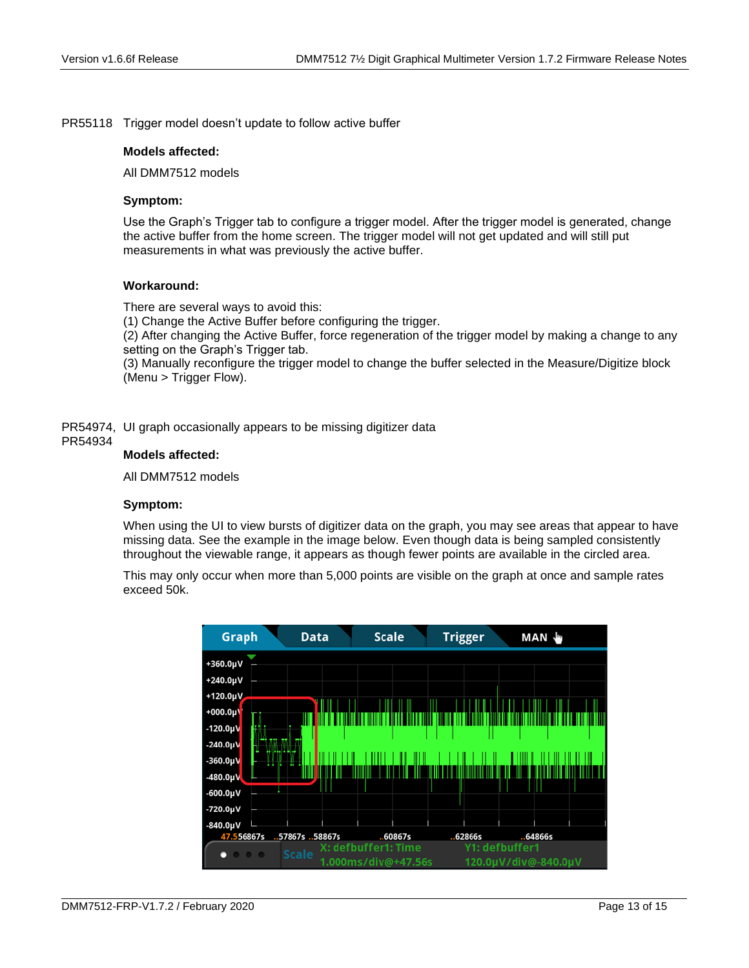PR55118 Trigger model doesn't update to follow active buffer

### **Models affected:**

All DMM7512 models

# **Symptom:**

Use the Graph's Trigger tab to configure a trigger model. After the trigger model is generated, change the active buffer from the home screen. The trigger model will not get updated and will still put measurements in what was previously the active buffer.

# **Workaround:**

There are several ways to avoid this:

(1) Change the Active Buffer before configuring the trigger.

(2) After changing the Active Buffer, force regeneration of the trigger model by making a change to any setting on the Graph's Trigger tab.

(3) Manually reconfigure the trigger model to change the buffer selected in the Measure/Digitize block (Menu > Trigger Flow).

PR54974, UI graph occasionally appears to be missing digitizer data

#### PR54934

### **Models affected:**

All DMM7512 models

# **Symptom:**

When using the UI to view bursts of digitizer data on the graph, you may see areas that appear to have missing data. See the example in the image below. Even though data is being sampled consistently throughout the viewable range, it appears as though fewer points are available in the circled area.

This may only occur when more than 5,000 points are visible on the graph at once and sample rates exceed 50k.

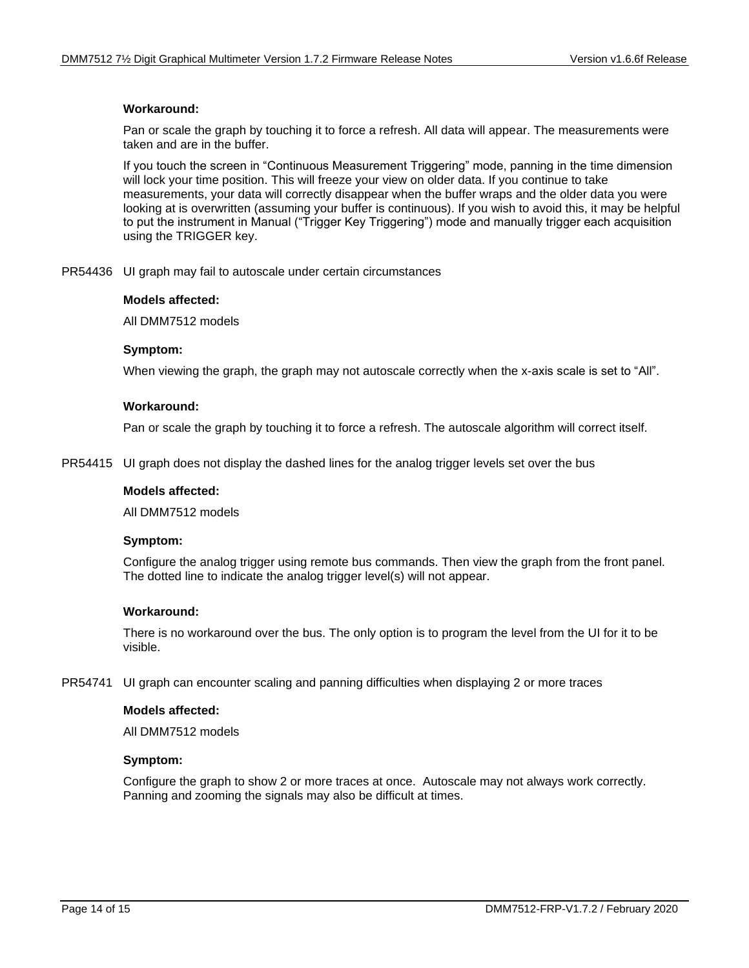# **Workaround:**

Pan or scale the graph by touching it to force a refresh. All data will appear. The measurements were taken and are in the buffer.

If you touch the screen in "Continuous Measurement Triggering" mode, panning in the time dimension will lock your time position. This will freeze your view on older data. If you continue to take measurements, your data will correctly disappear when the buffer wraps and the older data you were looking at is overwritten (assuming your buffer is continuous). If you wish to avoid this, it may be helpful to put the instrument in Manual ("Trigger Key Triggering") mode and manually trigger each acquisition using the TRIGGER key.

PR54436 UI graph may fail to autoscale under certain circumstances

### **Models affected:**

All DMM7512 models

# **Symptom:**

When viewing the graph, the graph may not autoscale correctly when the x-axis scale is set to "All".

### **Workaround:**

Pan or scale the graph by touching it to force a refresh. The autoscale algorithm will correct itself.

PR54415 UI graph does not display the dashed lines for the analog trigger levels set over the bus

#### **Models affected:**

All DMM7512 models

#### **Symptom:**

Configure the analog trigger using remote bus commands. Then view the graph from the front panel. The dotted line to indicate the analog trigger level(s) will not appear.

# **Workaround:**

There is no workaround over the bus. The only option is to program the level from the UI for it to be visible.

PR54741 UI graph can encounter scaling and panning difficulties when displaying 2 or more traces

#### **Models affected:**

All DMM7512 models

# **Symptom:**

Configure the graph to show 2 or more traces at once. Autoscale may not always work correctly. Panning and zooming the signals may also be difficult at times.